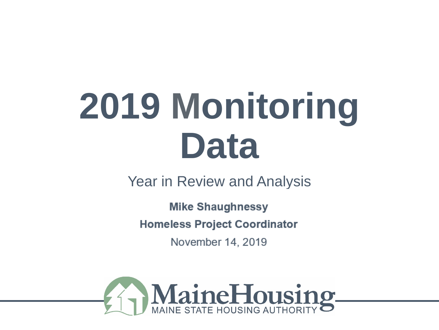Year in Review and Analysis

**Name**  ojeci<br>.

November 14, 2019

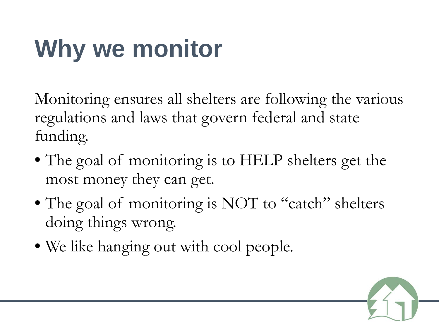# **Why we monitor**

Monitoring ensures all shelters are following the various regulations and laws that govern federal and state funding.

- The goal of monitoring is to HELP shelters get the most money they can get.
- The goal of monitoring is NOT to "catch" shelters doing things wrong.
- We like hanging out with cool people.

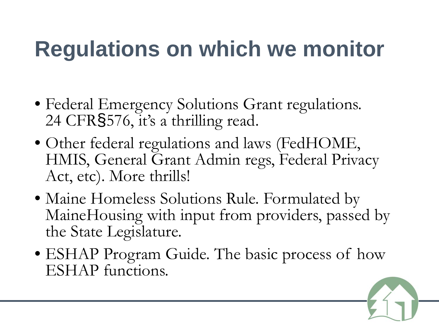#### **Regulations on which we monitor**

- Federal Emergency Solutions Grant regulations. 24 CFR§576, it's a thrilling read.
- Other federal regulations and laws (FedHOME, HMIS, General Grant Admin regs, Federal Privacy Act, etc). More thrills!
- Maine Homeless Solutions Rule. Formulated by MaineHousing with input from providers, passed by the State Legislature.
- ESHAP Program Guide. The basic process of how ESHAP functions.

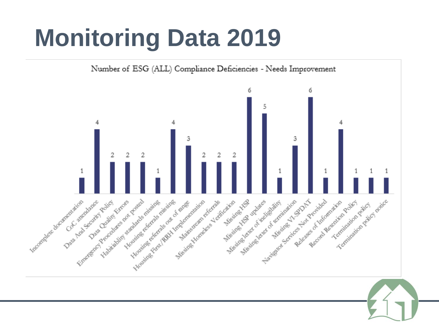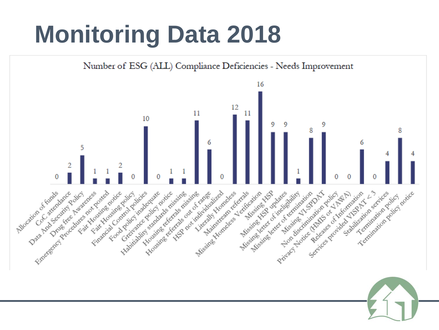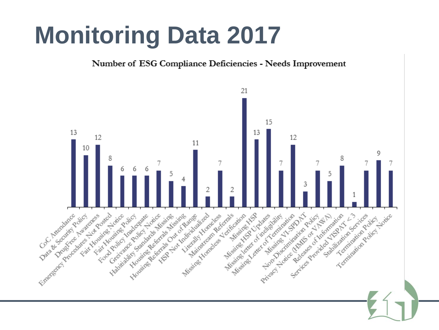Number of ESG Compliance Deficiencies - Needs Improvement

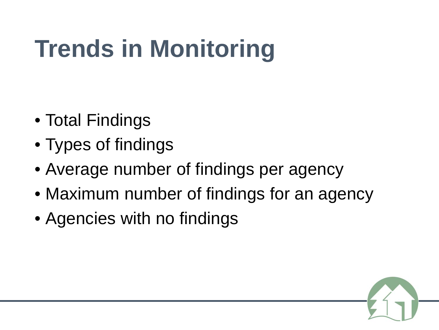# **Trends in Monitoring**

- Total Findings
- Types of findings
- Average number of findings per agency
- Maximum number of findings for an agency
- Agencies with no findings

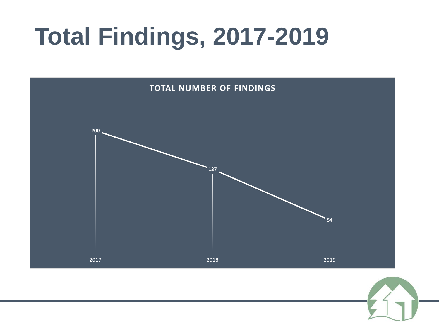# **Total Findings, 2017-2019**



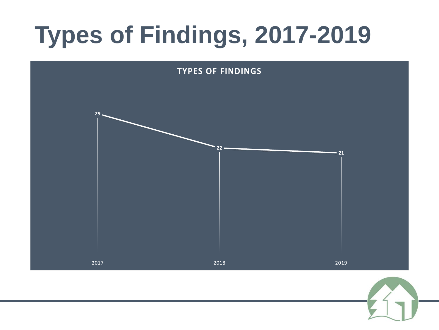# **Types of Findings, 2017-2019**



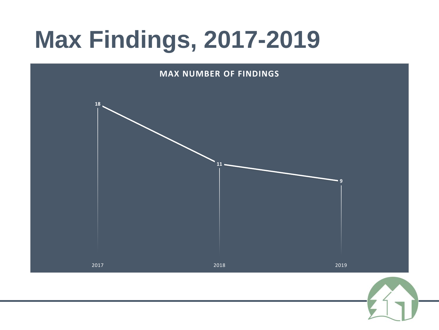# **Max Findings, 2017-2019**

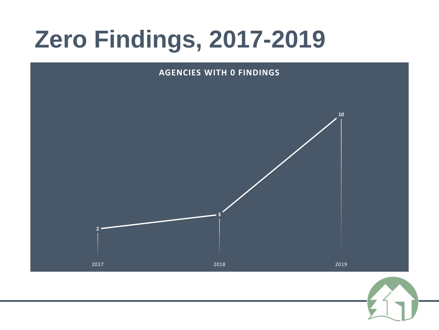# **Zero Findings, 2017-2019**



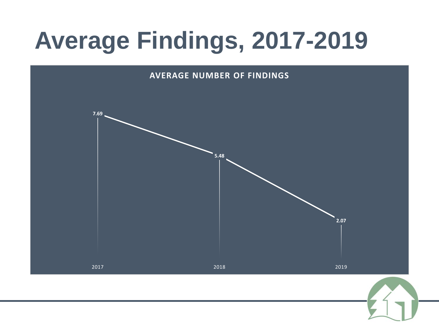# **Average Findings, 2017-2019**

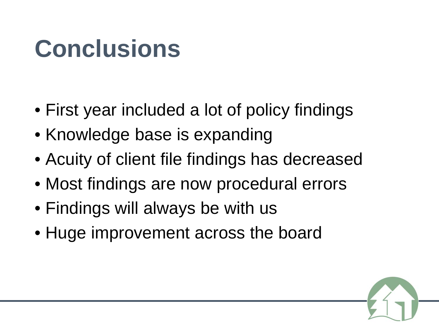## **Conclusions**

- First year included a lot of policy findings
- Knowledge base is expanding
- Acuity of client file findings has decreased
- Most findings are now procedural errors
- Findings will always be with us
- Huge improvement across the board